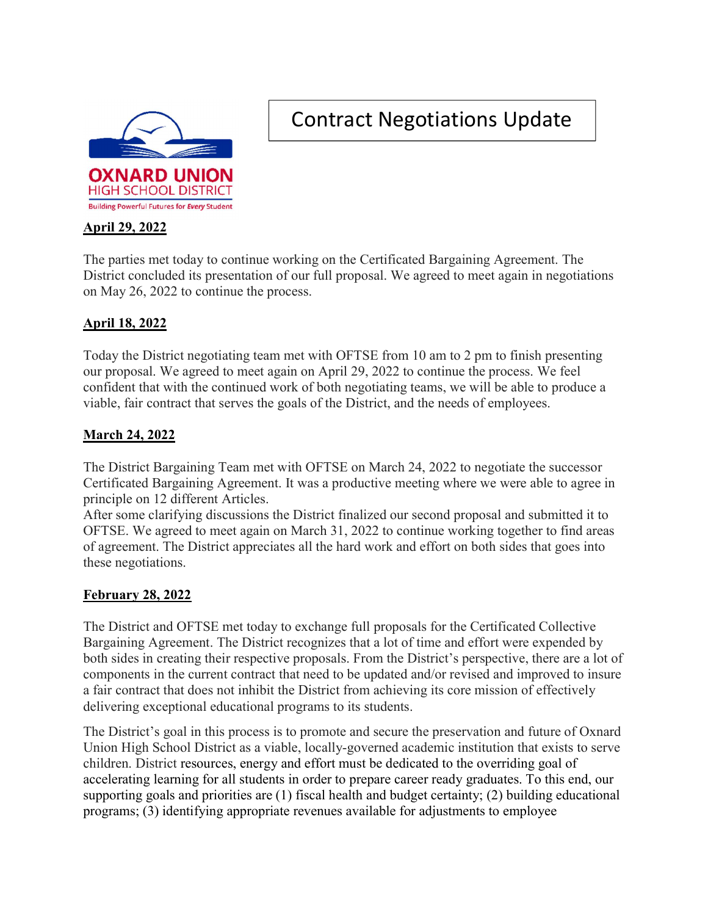

# Contract Negotiations Update

# April 29, 2022

The parties met today to continue working on the Certificated Bargaining Agreement. The District concluded its presentation of our full proposal. We agreed to meet again in negotiations on May 26, 2022 to continue the process.

## April 18, 2022

Today the District negotiating team met with OFTSE from 10 am to 2 pm to finish presenting our proposal. We agreed to meet again on April 29, 2022 to continue the process. We feel confident that with the continued work of both negotiating teams, we will be able to produce a viable, fair contract that serves the goals of the District, and the needs of employees.

## March 24, 2022

The District Bargaining Team met with OFTSE on March 24, 2022 to negotiate the successor Certificated Bargaining Agreement. It was a productive meeting where we were able to agree in principle on 12 different Articles.

After some clarifying discussions the District finalized our second proposal and submitted it to OFTSE. We agreed to meet again on March 31, 2022 to continue working together to find areas of agreement. The District appreciates all the hard work and effort on both sides that goes into these negotiations.

## February 28, 2022

The District and OFTSE met today to exchange full proposals for the Certificated Collective Bargaining Agreement. The District recognizes that a lot of time and effort were expended by both sides in creating their respective proposals. From the District's perspective, there are a lot of components in the current contract that need to be updated and/or revised and improved to insure a fair contract that does not inhibit the District from achieving its core mission of effectively delivering exceptional educational programs to its students.

The District's goal in this process is to promote and secure the preservation and future of Oxnard Union High School District as a viable, locally-governed academic institution that exists to serve children. District resources, energy and effort must be dedicated to the overriding goal of accelerating learning for all students in order to prepare career ready graduates. To this end, our supporting goals and priorities are (1) fiscal health and budget certainty; (2) building educational programs; (3) identifying appropriate revenues available for adjustments to employee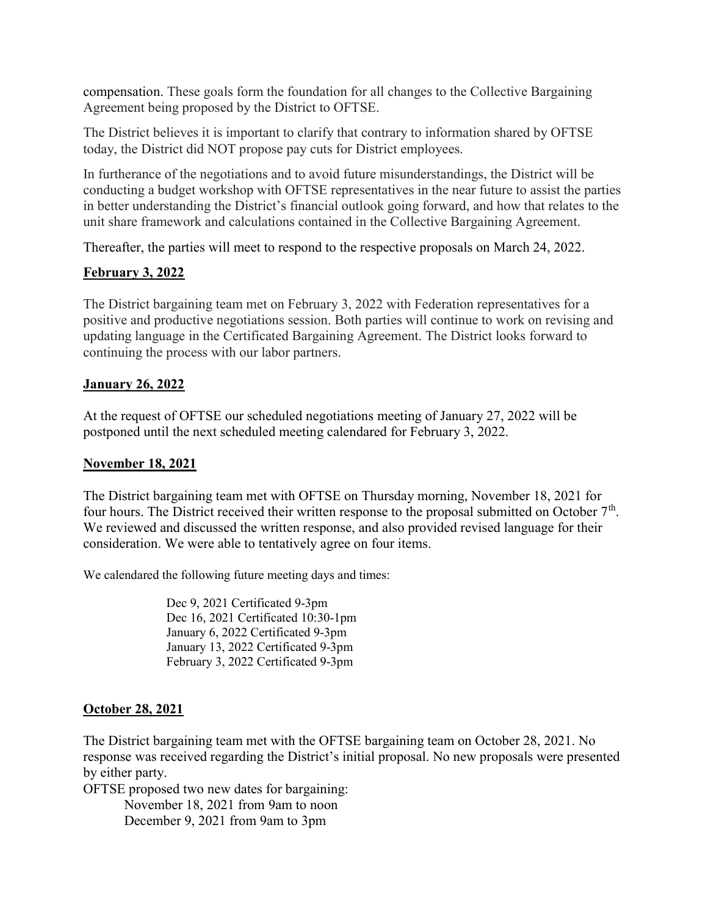compensation. These goals form the foundation for all changes to the Collective Bargaining Agreement being proposed by the District to OFTSE.

The District believes it is important to clarify that contrary to information shared by OFTSE today, the District did NOT propose pay cuts for District employees.

In furtherance of the negotiations and to avoid future misunderstandings, the District will be conducting a budget workshop with OFTSE representatives in the near future to assist the parties in better understanding the District's financial outlook going forward, and how that relates to the unit share framework and calculations contained in the Collective Bargaining Agreement.

Thereafter, the parties will meet to respond to the respective proposals on March 24, 2022.

#### February 3, 2022

The District bargaining team met on February 3, 2022 with Federation representatives for a positive and productive negotiations session. Both parties will continue to work on revising and updating language in the Certificated Bargaining Agreement. The District looks forward to continuing the process with our labor partners.

## January 26, 2022

At the request of OFTSE our scheduled negotiations meeting of January 27, 2022 will be postponed until the next scheduled meeting calendared for February 3, 2022.

#### November 18, 2021

The District bargaining team met with OFTSE on Thursday morning, November 18, 2021 for four hours. The District received their written response to the proposal submitted on October  $7<sup>th</sup>$ . We reviewed and discussed the written response, and also provided revised language for their consideration. We were able to tentatively agree on four items.

We calendared the following future meeting days and times:

Dec 9, 2021 Certificated 9-3pm Dec 16, 2021 Certificated 10:30-1pm January 6, 2022 Certificated 9-3pm January 13, 2022 Certificated 9-3pm February 3, 2022 Certificated 9-3pm

## October 28, 2021

The District bargaining team met with the OFTSE bargaining team on October 28, 2021. No response was received regarding the District's initial proposal. No new proposals were presented by either party.

OFTSE proposed two new dates for bargaining:

 November 18, 2021 from 9am to noon December 9, 2021 from 9am to 3pm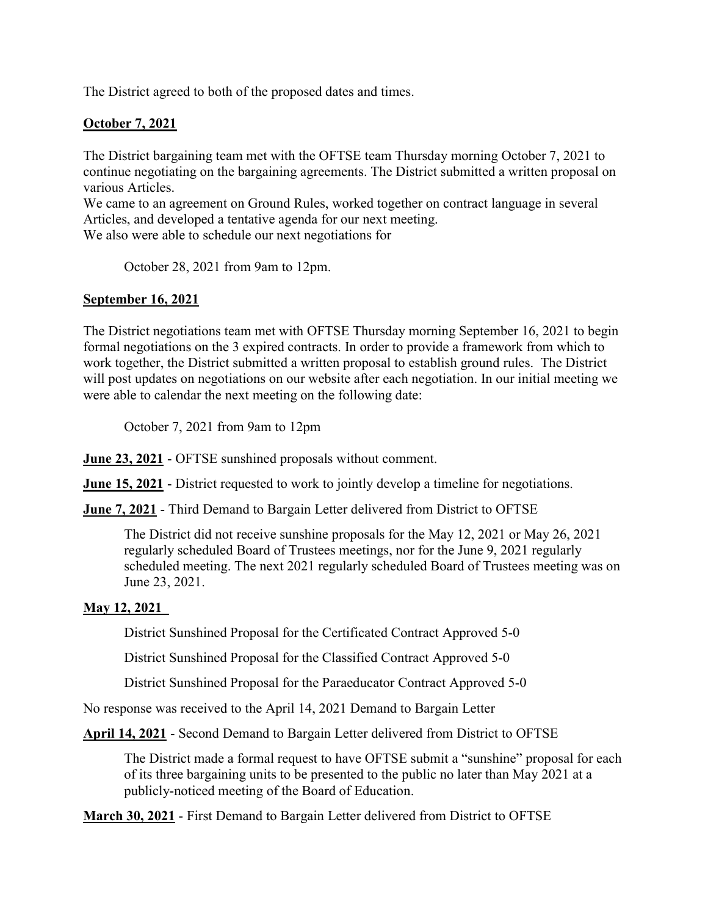The District agreed to both of the proposed dates and times.

## October 7, 2021

The District bargaining team met with the OFTSE team Thursday morning October 7, 2021 to continue negotiating on the bargaining agreements. The District submitted a written proposal on various Articles.

We came to an agreement on Ground Rules, worked together on contract language in several Articles, and developed a tentative agenda for our next meeting.

We also were able to schedule our next negotiations for

October 28, 2021 from 9am to 12pm.

## September 16, 2021

The District negotiations team met with OFTSE Thursday morning September 16, 2021 to begin formal negotiations on the 3 expired contracts. In order to provide a framework from which to work together, the District submitted a written proposal to establish ground rules. The District will post updates on negotiations on our website after each negotiation. In our initial meeting we were able to calendar the next meeting on the following date:

October 7, 2021 from 9am to 12pm

June 23, 2021 - OFTSE sunshined proposals without comment.

June 15, 2021 - District requested to work to jointly develop a timeline for negotiations.

**June 7, 2021** - Third Demand to Bargain Letter delivered from District to OFTSE

The District did not receive sunshine proposals for the May 12, 2021 or May 26, 2021 regularly scheduled Board of Trustees meetings, nor for the June 9, 2021 regularly scheduled meeting. The next 2021 regularly scheduled Board of Trustees meeting was on June 23, 2021.

## May 12, 2021

District Sunshined Proposal for the Certificated Contract Approved 5-0

District Sunshined Proposal for the Classified Contract Approved 5-0

District Sunshined Proposal for the Paraeducator Contract Approved 5-0

No response was received to the April 14, 2021 Demand to Bargain Letter

April 14, 2021 - Second Demand to Bargain Letter delivered from District to OFTSE

The District made a formal request to have OFTSE submit a "sunshine" proposal for each of its three bargaining units to be presented to the public no later than May 2021 at a publicly-noticed meeting of the Board of Education.

March 30, 2021 - First Demand to Bargain Letter delivered from District to OFTSE